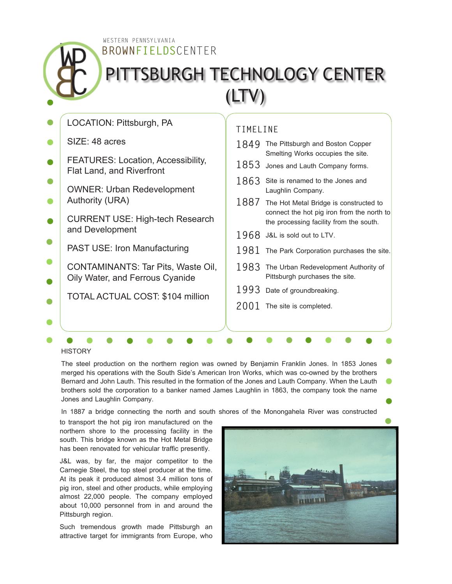**BROWNFIELDS**CENTER WESTERN PENNSYLVANIA

## PITTSBURGH TECHNOLOGY CENTER (LTV)

| LOCATION: Pittsburgh, PA                                               |      | TIMELINE                                                                             |  |
|------------------------------------------------------------------------|------|--------------------------------------------------------------------------------------|--|
| SIZE: 48 acres                                                         | 1849 | The Pittsburgh and Boston Copper<br>Smelting Works occupies the site.                |  |
| <b>FEATURES: Location, Accessibility,</b><br>Flat Land, and Riverfront | 1853 | Jones and Lauth Company forms.                                                       |  |
| <b>OWNER: Urban Redevelopment</b>                                      | 1863 | Site is renamed to the Jones and<br>Laughlin Company.                                |  |
| <b>Authority (URA)</b>                                                 | 1887 | The Hot Metal Bridge is constructed to<br>connect the hot pig iron from the north to |  |
| <b>CURRENT USE: High-tech Research</b>                                 |      | the processing facility from the south.                                              |  |
| and Development                                                        | 1968 | J&L is sold out to LTV.                                                              |  |
| <b>PAST USE: Iron Manufacturing</b>                                    | 1981 | The Park Corporation purchases the site.                                             |  |
| CONTAMINANTS: Tar Pits, Waste Oil,<br>Oily Water, and Ferrous Cyanide  | 1983 | The Urban Redevelopment Authority of<br>Pittsburgh purchases the site.               |  |
| <b>TOTAL ACTUAL COST: \$104 million</b>                                | 1993 | Date of groundbreaking.                                                              |  |
|                                                                        | 2001 | The site is completed.                                                               |  |
|                                                                        |      |                                                                                      |  |
|                                                                        |      |                                                                                      |  |

**HISTORY** 

The steel production on the northern region was owned by Benjamin Franklin Jones. In 1853 Jones merged his operations with the South Side's American Iron Works, which was co-owned by the brothers Bernard and John Lauth. This resulted in the formation of the Jones and Lauth Company. When the Lauth brothers sold the corporation to a banker named James Laughlin in 1863, the company took the name Jones and Laughlin Company.

In 1887 a bridge connecting the north and south shores of the Monongahela River was constructed

to transport the hot pig iron manufactured on the northern shore to the processing facility in the south. This bridge known as the Hot Metal Bridge has been renovated for vehicular traffic presently.

J&L was, by far, the major competitor to the Carnegie Steel, the top steel producer at the time. At its peak it produced almost 3.4 million tons of pig iron, steel and other products, while employing almost 22,000 people. The company employed about 10,000 personnel from in and around the Pittsburgh region.

Such tremendous growth made Pittsburgh an attractive target for immigrants from Europe, who

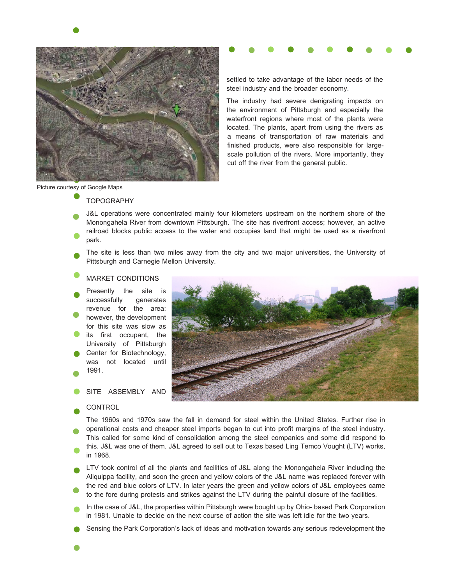

settled to take advantage of the labor needs of the steel industry and the broader economy.

The industry had severe denigrating impacts on the environment of Pittsburgh and especially the waterfront regions where most of the plants were located. The plants, apart from using the rivers as a means of transportation of raw materials and finished products, were also responsible for largescale pollution of the rivers. More importantly, they cut off the river from the general public.

#### Picture courtesy of Google Maps

**TOPOGRAPHY** 

- J&L operations were concentrated mainly four kilometers upstream on the northern shore of the Monongahela River from downtown Pittsburgh. The site has riverfront access; however, an active railroad blocks public access to the water and occupies land that might be used as a riverfront park.
- The site is less than two miles away from the city and two major universities, the University of Pittsburgh and Carnegie Mellon University.

#### MARKET CONDITIONS

Presently the site is<br>successfully generates successfully revenue for the area; however, the development for this site was slow as its first occupant, the University of Pittsburgh Center for Biotechnology, was not located until 1991.

SITE ASSEMBLY AND

#### **CONTROL**



The 1960s and 1970s saw the fall in demand for steel within the United States. Further rise in operational costs and cheaper steel imports began to cut into profit margins of the steel industry. This called for some kind of consolidation among the steel companies and some did respond to this. J&L was one of them. J&L agreed to sell out to Texas based Ling Temco Vought (LTV) works, in 1968.

LTV took control of all the plants and facilities of J&L along the Monongahela River including the Aliquippa facility, and soon the green and yellow colors of the J&L name was replaced forever with the red and blue colors of LTV. In later years the green and yellow colors of J&L employees came to the fore during protests and strikes against the LTV during the painful closure of the facilities.

- In the case of J&L, the properties within Pittsburgh were bought up by Ohio- based Park Corporation in 1981. Unable to decide on the next course of action the site was left idle for the two years.
- Sensing the Park Corporation's lack of ideas and motivation towards any serious redevelopment the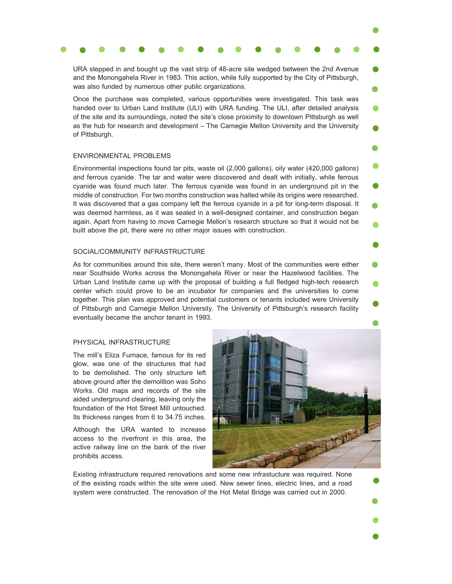### URA stepped in and bought up the vast strip of 48-acre site wedged between the 2nd Avenue

and the Monongahela River in 1983. This action, while fully supported by the City of Pittsburgh, was also funded by numerous other public organizations.

Once the purchase was completed, various opportunities were investigated. This task was handed over to Urban Land Institute (ULI) with URA funding. The ULI, after detailed analysis of the site and its surroundings, noted the site's close proximity to downtown Pittsburgh as well as the hub for research and development – The Carnegie Mellon University and the University of Pittsburgh.

#### ENVIRONMENTAL PROBLEMS

Environmental inspections found tar pits, waste oil (2,000 gallons), oily water (420,000 gallons) and ferrous cyanide. The tar and water were discovered and dealt with initially, while ferrous cyanide was found much later. The ferrous cyanide was found in an underground pit in the middle of construction. For two months construction was halted while its origins were researched. It was discovered that a gas company left the ferrous cyanide in a pit for long-term disposal. It was deemed harmless, as it was sealed in a well-designed container, and construction began again. Apart from having to move Carnegie Mellon's research structure so that it would not be built above the pit, there were no other major issues with construction.

#### SOCIAL/COMMUNITY INFRASTRUCTURE

As for communities around this site, there weren't many. Most of the communities were either near Southside Works across the Monongahela River or near the Hazelwood facilities. The Urban Land Institute came up with the proposal of building a full fledged high-tech research center which could prove to be an incubator for companies and the universities to come together. This plan was approved and potential customers or tenants included were University of Pittsburgh and Carnegie Mellon University. The University of Pittsburgh's research facility eventually became the anchor tenant in 1993.

#### PHYSICAL INFRASTRUCTURE

The mill's Eliza Furnace, famous for its red glow, was one of the structures that had to be demolished. The only structure left above ground after the demolition was Soho Works. Old maps and records of the site aided underground clearing, leaving only the foundation of the Hot Street Mill untouched. Its thickness ranges from 6 to 34.75 inches.

Although the URA wanted to increase access to the riverfront in this area, the active railway line on the bank of the river prohibits access.



Existing infrastructure required renovations and some new infrastucture was required. None of the existing roads within the site were used. New sewer lines, electric lines, and a road system were constructed. The renovation of the Hot Metal Bridge was carried out in 2000.